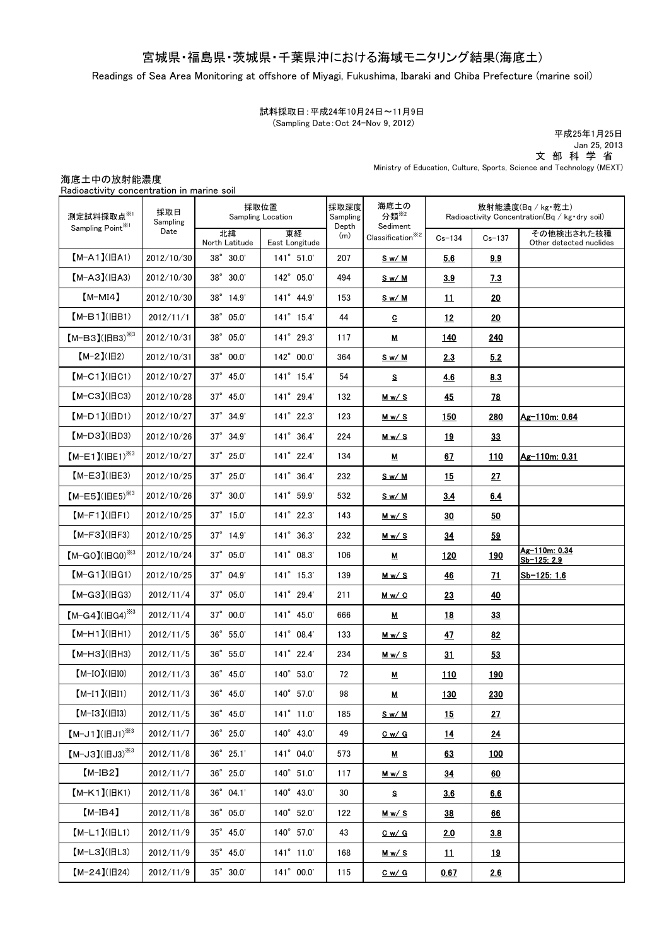## 宮城県・福島県・茨城県・千葉県沖における海域モニタリング結果(海底土)

Readings of Sea Area Monitoring at offshore of Miyagi, Fukushima, Ibaraki and Chiba Prefecture (marine soil)

### 試料採取日:平成24年10月24日~11月9日 (Sampling Date:Oct 24-Nov 9, 2012)

Ministry of Education, Culture, Sports, Science and Technology (MEXT) 平成25年1月25日 Jan 25, 2013 文 部 科 学 省

海底土中の放射能濃度 Radioactivity concentration in marine soil 北緯 North Latitude 東経 East Longitude  $Cs-134$   $Cs-137$ その他検出された核種 Other detected nuclides 2012/10/30 38° 30.0' 141° 51.0' 207 Sw/M 5.6 3.9 2012/10/30 38°30.0' 142°05.0' 494 Sw/M 3.9 7.3 2012/10/30 38°14.9' 141°44.9' 153 Sw/M 11 120 2012/11/1 38°05.0' 141°15.4' 44 C 12 20 2012/10/31 38°05.0' 141°29.3' 117 M 140 240 2012/10/31 38°00.0' 142°00.0' 364 S w/ M 2.3 5.2 2012/10/27 37° 45.0' 141° 15.4' 54 S <mark>4.6 4.6 8.3</mark> 2012/10/28 37° 45.0' 141° 29.4' 132 Mw/S 45 78 2012/10/27 37° 34.9' 141° 22.3' 123 Mw/s 150 280 Ag-110m: 0.64 2012/10/26 37°34.9' 141°36.4' 224 Mw/S 19 33 2012/10/27 37° 25.0' 141° 22.4' 134 M 67 110 Ag-110m: 0.31 2012/10/25 37°25.0' 141°36.4' 232 Sw/M 15 27 2012/10/26 37°30.0' 141°59.9' 532 Sw/M 3.4 6.4 2012/10/25 37° 15.0' 141° 22.3' 143 Mw/s 30 30 2012/10/25 37° 14.9' 141° 36.3' 232 Mw/S 34 59 2012/10/24 37°05.0' 141°08.3' 106 M 120 120 Ag-110m: 0.34 Sb-125: 2.9 2012/10/25 37° 04.9' 141° 15.3' 139 M w/ S 46 71 Sb-125: 1.6 2012/11/4 37°05.0' 141°29.4' 211 Mw/ C 23 40 2012/11/4 37°00.0' 141°45.0' 666 M 18 33 2012/11/5 36° 55.0' 141° 08.4' 133 Mw/s 47 82 2012/11/5 36° 55.0' 141° 22.4' 234 Mw/S 31 53 2012/11/3 36°45.0' 140°53.0' 72 M 110 190 2012/11/3 36°45.0' 140°57.0' 98 M 130 230 2012/11/5 36°45.0' 141°11.0' 185 Sw/M 15 27 2012/11/7 36° 25.0' 140° 43.0' 49 C w/ G 14 14 24 2012/11/8 36°25.1' 141°04.0' 573 M 100 2012/11/7 | 36°25.0' | 140°51.0' | 117 | <u>Mw/s | 34</u> | 60 2012/11/8 36° 04.1' 140° 43.0' 30 S 3.6 3.6 5.6 2012/11/8 36°05.0' 140°52.0' 122 Mw/S 38 66 2012/11/9 35° 45.0' 140° 57.0' 43 C w/ G 2.0 3.8 2012/11/9 | 35°45.0' | 141°11.0' | 168 | <u>Mw/S | 11</u> | <u>19</u> 採取日 Sampling Date 採取位置 Sampling Location 採取深度 Sampling Depth (m) 海底土の 分類 ※2 Sediment Classification ※2 放射能濃度(Bq / kg・乾土) Radioactivity Concentration(Bq / kg·dry soil) 測定試料採取点 $^{\times 1}$ Sampling Point<sup>※1</sup> 【M-J1】(旧J1) ※3 【M-I3】(旧I3) 【M-L3】(旧L3)  $[M-J3]$  $(HJ3)$  $*3$ 【M-IB2】 【M-L1】(旧L1) 【M-IB4】 【M-K1】(旧K1) 【M-C3】(旧C3) 【M-I1】(旧I1) 【M-I0】(旧I0)  $[M-H3]$ ( $|HH3$ ) 【M-H1】(旧H1)  $[M-G4] (IBG4)^{*3}$  $[M-G3]$ ( $|H$ G3) 【M-G1】(旧G1) 【M-F3】(旧F3) 【M-D1】(旧D1) 【M-A3】(旧A3) 【M-F1】(旧F1)  $[M-E5]$ (IBE5)<sup>※3</sup> 【M-E3】(旧E3)  $[M-E1] (HE1)^{*3}$ 【M-D3】(旧D3) 【M-G0】(旧G0) ※3 【M-A1】(旧A1) 【M-C1】(旧C1)  $[M-2](H2)$  $[M-B3] (IBB3)$ <sup>※3</sup>  $[M-B1]$ ( $|HH1$ ) 【M-MI4】

2012/11/9 35° 30.0' 141° 00.0' 115 Cw/ G 0.67 2.6

 $[M-24](H24)$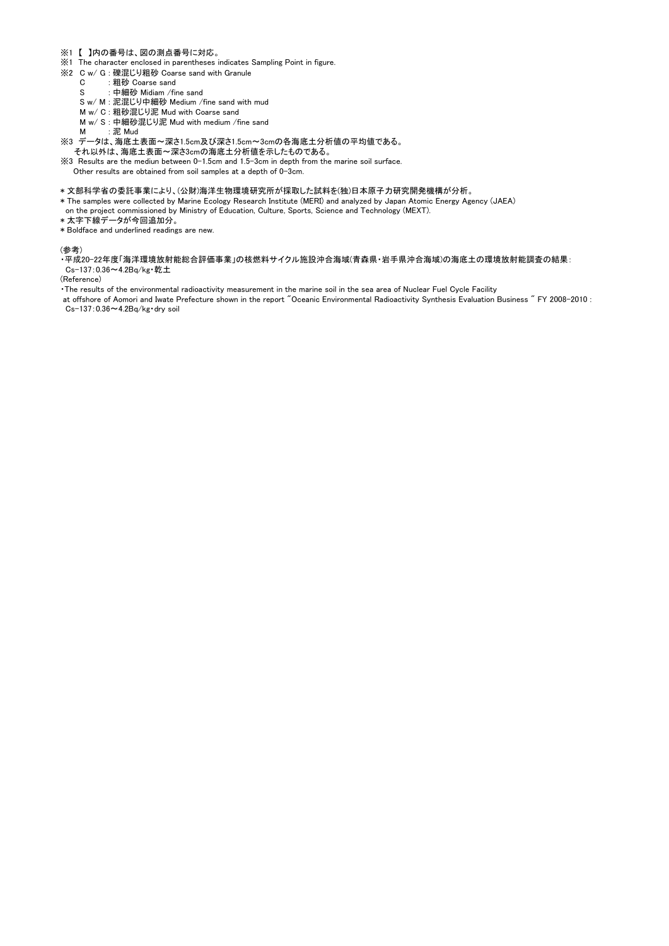- ※1 【 】内の番号は、図の測点番号に対応。
- ※1 The character enclosed in parentheses indicates Sampling Point in figure.
- ※2 C w/ G : 礫混じり粗砂 Coarse sand with Granule
	- C : 粗砂 Coarse sand
	- S : 中細砂 Midiam / fine sand
	- S w/ M : 泥混じり中細砂 Medium /fine sand with mud
	- M w/ C : 粗砂混じり泥 Mud with Coarse sand
	- M w/ S : 中細砂混じり泥 Mud with medium /fine sand
	- M : 泥 Mud
- ※3 データは、海底土表面~深さ1.5cm及び深さ1.5cm~3cmの各海底土分析値の平均値である。 それ以外は、海底土表面~深さ3cmの海底土分析値を示したものである。
- ※3 Results are the mediun between 0-1.5cm and 1.5-3cm in depth from the marine soil surface. Other results are obtained from soil samples at a depth of 0-3cm.
- \* 文部科学省の委託事業により、(公財)海洋生物環境研究所が採取した試料を(独)日本原子力研究開発機構が分析。
- \* The samples were collected by Marine Ecology Research Institute (MERI) and analyzed by Japan Atomic Energy Agency (JAEA) on the project commissioned by Ministry of Education, Culture, Sports, Science and Technology (MEXT).
- \* 太字下線データが今回追加分。
- \* Boldface and underlined readings are new.

#### (参考)

・平成20-22年度「海洋環境放射能総合評価事業」の核燃料サイクル施設沖合海域(青森県・岩手県沖合海域)の海底土の環境放射能調査の結果: Cs-137:0.36~4.2Bq/kg・乾土

(Reference)

・The results of the environmental radioactivity measurement in the marine soil in the sea area of Nuclear Fuel Cycle Facility

at offshore of Aomori and Iwate Prefecture shown in the report "Oceanic Environmental Radioactivity Synthesis Evaluation Business " FY 2008-2010 : Cs-137:0.36~4.2Bq/kg・dry soil